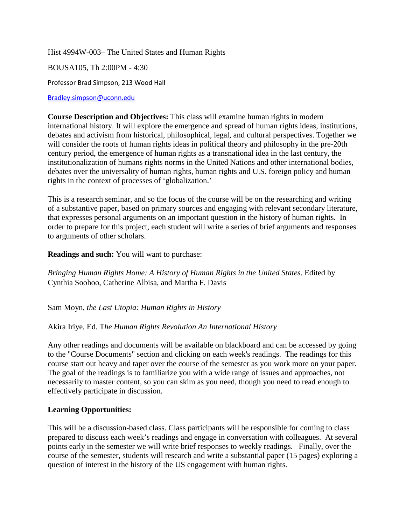Hist 4994W-003– The United States and Human Rights

BOUSA105, Th 2:00PM - 4:30

Professor Brad Simpson, 213 Wood Hall

[Bradley.simpson@uconn.edu](mailto:Bradley.simpson@uconn.edu)

**Course Description and Objectives:** This class will examine human rights in modern international history. It will explore the emergence and spread of human rights ideas, institutions, debates and activism from historical, philosophical, legal, and cultural perspectives. Together we will consider the roots of human rights ideas in political theory and philosophy in the pre-20th century period, the emergence of human rights as a transnational idea in the last century, the institutionalization of humans rights norms in the United Nations and other international bodies, debates over the universality of human rights, human rights and U.S. foreign policy and human rights in the context of processes of 'globalization.'

This is a research seminar, and so the focus of the course will be on the researching and writing of a substantive paper, based on primary sources and engaging with relevant secondary literature, that expresses personal arguments on an important question in the history of human rights. In order to prepare for this project, each student will write a series of brief arguments and responses to arguments of other scholars.

**Readings and such:** You will want to purchase:

*Bringing Human Rights Home: A History of Human Rights in the United States*. Edited by Cynthia Soohoo, Catherine Albisa, and Martha F. Davis

Sam Moyn, *the Last Utopia: Human Rights in History*

Akira Iriye, Ed. T*he Human Rights Revolution An International History*

Any other readings and documents will be available on blackboard and can be accessed by going to the "Course Documents" section and clicking on each week's readings. The readings for this course start out heavy and taper over the course of the semester as you work more on your paper. The goal of the readings is to familiarize you with a wide range of issues and approaches, not necessarily to master content, so you can skim as you need, though you need to read enough to effectively participate in discussion.

# **Learning Opportunities:**

This will be a discussion-based class. Class participants will be responsible for coming to class prepared to discuss each week's readings and engage in conversation with colleagues. At several points early in the semester we will write brief responses to weekly readings. Finally, over the course of the semester, students will research and write a substantial paper (15 pages) exploring a question of interest in the history of the US engagement with human rights.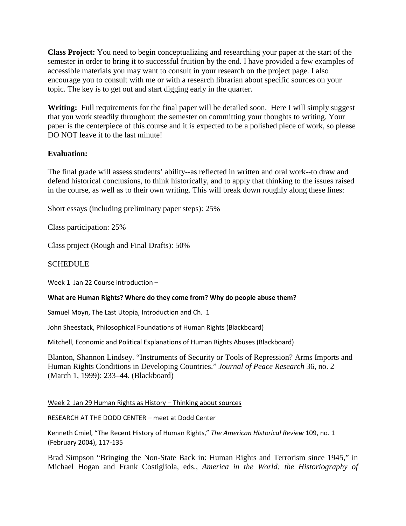**Class Project:** You need to begin conceptualizing and researching your paper at the start of the semester in order to bring it to successful fruition by the end. I have provided a few examples of accessible materials you may want to consult in your research on the project page. I also encourage you to consult with me or with a research librarian about specific sources on your topic. The key is to get out and start digging early in the quarter.

Writing: Full requirements for the final paper will be detailed soon. Here I will simply suggest that you work steadily throughout the semester on committing your thoughts to writing. Your paper is the centerpiece of this course and it is expected to be a polished piece of work, so please DO NOT leave it to the last minute!

# **Evaluation:**

The final grade will assess students' ability--as reflected in written and oral work--to draw and defend historical conclusions, to think historically, and to apply that thinking to the issues raised in the course, as well as to their own writing. This will break down roughly along these lines:

Short essays (including preliminary paper steps): 25%

Class participation: 25%

Class project (Rough and Final Drafts): 50%

## **SCHEDULE**

Week 1 Jan 22 Course introduction –

### **What are Human Rights? Where do they come from? Why do people abuse them?**

Samuel Moyn, The Last Utopia, Introduction and Ch. 1

John Sheestack, Philosophical Foundations of Human Rights (Blackboard)

Mitchell, Economic and Political Explanations of Human Rights Abuses (Blackboard)

Blanton, Shannon Lindsey. "Instruments of Security or Tools of Repression? Arms Imports and Human Rights Conditions in Developing Countries." *Journal of Peace Research* 36, no. 2 (March 1, 1999): 233–44. (Blackboard)

Week 2 Jan 29 Human Rights as History – Thinking about sources

RESEARCH AT THE DODD CENTER – meet at Dodd Center

Kenneth Cmiel, "The Recent History of Human Rights," *The American Historical Review* 109, no. 1 (February 2004), 117-135

Brad Simpson "Bringing the Non-State Back in: Human Rights and Terrorism since 1945," in Michael Hogan and Frank Costigliola, eds., *America in the World: the Historiography of*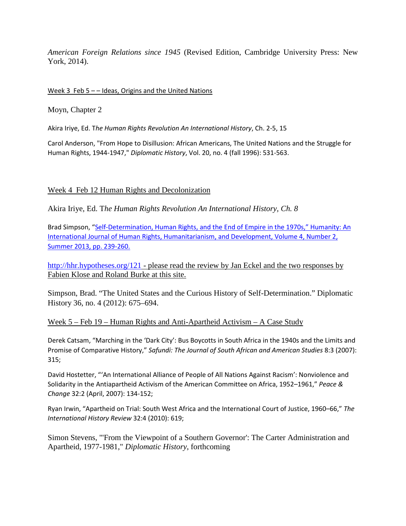*American Foreign Relations since 1945* (Revised Edition, Cambridge University Press: New York, 2014).

## Week 3 Feb  $5$  – – Ideas, Origins and the United Nations

Moyn, Chapter 2

Akira Iriye, Ed. T*he Human Rights Revolution An International History*, Ch. 2-5, 15

Carol Anderson, "From Hope to Disillusion: African Americans, The United Nations and the Struggle for Human Rights, 1944-1947," *Diplomatic History*, Vol. 20, no. 4 (fall 1996): 531-563.

## Week 4 Feb 12 Human Rights and Decolonization

Akira Iriye, Ed. T*he Human Rights Revolution An International History, Ch. 8*

Brad Simpson, ["Self-Determination, Human Rights, and the End of Empire in the 1970s,"](https://www.academia.edu/5430523/Self-Determination_Human_Rights_and_the_End_of_Empire_in_the_1970s_Humanity_An_International_Journal_of_Human_Rights_Humanitarianism_and_Development_Volume_4_Number_2_Summer_2013_pp._239-260) Humanity: An [International Journal of Human Rights, Humanitarianism, and Development, Volume 4, Number 2,](https://www.academia.edu/5430523/Self-Determination_Human_Rights_and_the_End_of_Empire_in_the_1970s_Humanity_An_International_Journal_of_Human_Rights_Humanitarianism_and_Development_Volume_4_Number_2_Summer_2013_pp._239-260)  [Summer 2013, pp. 239-260.](https://www.academia.edu/5430523/Self-Determination_Human_Rights_and_the_End_of_Empire_in_the_1970s_Humanity_An_International_Journal_of_Human_Rights_Humanitarianism_and_Development_Volume_4_Number_2_Summer_2013_pp._239-260)

<http://hhr.hypotheses.org/121> - please read the review by Jan Eckel and the two responses by Fabien Klose and Roland Burke at this site.

Simpson, Brad. "The United States and the Curious History of Self-Determination." Diplomatic History 36, no. 4 (2012): 675–694.

## Week 5 – Feb 19 – Human Rights and Anti-Apartheid Activism – A Case Study

Derek Catsam, "Marching in the 'Dark City': Bus Boycotts in South Africa in the 1940s and the Limits and Promise of Comparative History," *Safundi: The Journal of South African and American Studies* 8:3 (2007): 315;

David Hostetter, "'An International Alliance of People of All Nations Against Racism': Nonviolence and Solidarity in the Antiapartheid Activism of the American Committee on Africa, 1952–1961," *Peace & Change* 32:2 (April, 2007): 134-152;

Ryan Irwin, "Apartheid on Trial: South West Africa and the International Court of Justice, 1960–66," *The International History Review* 32:4 (2010): 619;

Simon Stevens, "'From the Viewpoint of a Southern Governor': The Carter Administration and Apartheid, 1977-1981," *Diplomatic History*, forthcoming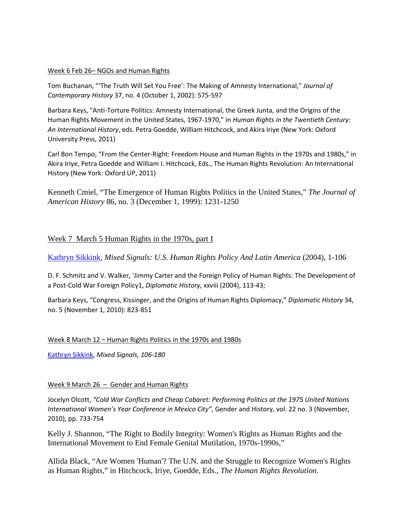### Week 6 Feb 26– NGOs and Human Rights

Tom Buchanan, "'The Truth Will Set You Free': The Making of Amnesty International," *Journal of Contemporary History* 37, no. 4 (October 1, 2002): 575-597

Barbara Keys, "Anti-Torture Politics: Amnesty International, the Greek Junta, and the Origins of the Human Rights Movement in the United States, 1967-1970," in *Human Rights in the Twentieth Century: An International History*, eds. Petra Goedde, William Hitchcock, and Akira Iriye (New York: Oxford University Press, 2011)

Carl Bon Tempo, "From the Center-Right: Freedom House and Human Rights in the 1970s and 1980s," in Akira Iriye, Petra Goedde and William I. Hitchcock, Eds., The Human Rights Revolution: An International History (New York: Oxford UP, 2011)

Kenneth Cmiel, "The Emergence of Human Rights Politics in the United States," *The Journal of American History* 86, no. 3 (December 1, 1999): 1231-1250

## Week 7 March 5 Human Rights in the 1970s, part I

[Kathryn Sikkink,](http://www.amazon.com/exec/obidos/search-handle-url/index=books&field-author=Kathryn%20Sikkink/103-6953712-7231008) *Mixed Signals: U.S. Human Rights Policy And Latin America* (2004), 1-106

D. F. Schmitz and V. Walker, 'Jimmy Carter and the Foreign Policy of Human Rights: The Development of a Post-Cold War Foreign Policy1, *Diplomatic History,* xxviii (2004), 113-43;

Barbara Keys, "Congress, Kissinger, and the Origins of Human Rights Diplomacy," *Diplomatic History* 34, no. 5 (November 1, 2010): 823-851

### Week 8 March 12 – Human Rights Politics in the 1970s and 1980s

[Kathryn Sikkink,](http://www.amazon.com/exec/obidos/search-handle-url/index=books&field-author=Kathryn%20Sikkink/103-6953712-7231008) *Mixed Signals, 106-180*

### Week 9 March 26 – Gender and Human Rights

Jocelyn Olcott, *"Cold War Conflicts and Cheap Cabaret: Performing Politics at the 1975 United Nations International Women's Year Conference in Mexico City"*, Gender and History, vol. 22 no. 3 (November, 2010), pp. 733-754

Kelly J. Shannon, "The Right to Bodily Integrity: Women's Rights as Human Rights and the International Movement to End Female Genital Mutilation, 1970s-1990s,"

Allida Black, "Are Women 'Human'? The U.N. and the Struggle to Recognize Women's Rights as Human Rights," in Hitchcock, Iriye, Goedde, Eds., *The Human Rights Revolution.*